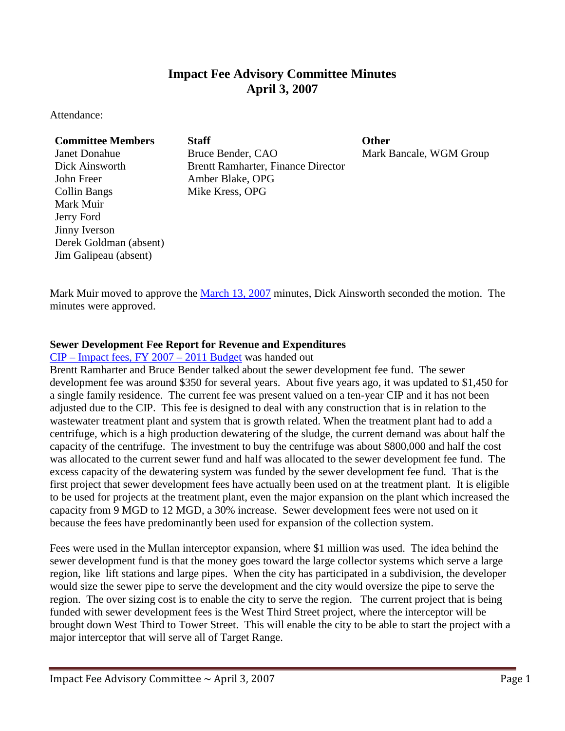# **Impact Fee Advisory Committee Minutes April 3, 2007**

Attendance:

# **Committee Members Staff Committee Members Staff**

John Freer Amber Blake, OPG Collin Bangs Mike Kress, OPG Mark Muir Jerry Ford Jinny Iverson Derek Goldman (absent) Jim Galipeau (absent)

Janet Donahue Bruce Bender, CAO Mark Bancale, WGM Group Dick Ainsworth Brentt Ramharter, Finance Director

Mark Muir moved to approve the [March 13, 2007](ftp://www.ci.missoula.mt.us/Documents/Mayor/IFAC/2007/070313Minutes.pdf) minutes, Dick Ainsworth seconded the motion. The minutes were approved.

## **Sewer Development Fee Report for Revenue and Expenditures**

CIP – [Impact fees, FY 2007 –](ftp://www.ci.missoula.mt.us/Documents/Mayor/IFAC/2007/070403CIPImpactFees07to11.pdf) 2011 Budget was handed out

Brentt Ramharter and Bruce Bender talked about the sewer development fee fund. The sewer development fee was around \$350 for several years. About five years ago, it was updated to \$1,450 for a single family residence. The current fee was present valued on a ten-year CIP and it has not been adjusted due to the CIP. This fee is designed to deal with any construction that is in relation to the wastewater treatment plant and system that is growth related. When the treatment plant had to add a centrifuge, which is a high production dewatering of the sludge, the current demand was about half the capacity of the centrifuge. The investment to buy the centrifuge was about \$800,000 and half the cost was allocated to the current sewer fund and half was allocated to the sewer development fee fund. The excess capacity of the dewatering system was funded by the sewer development fee fund. That is the first project that sewer development fees have actually been used on at the treatment plant. It is eligible to be used for projects at the treatment plant, even the major expansion on the plant which increased the capacity from 9 MGD to 12 MGD, a 30% increase. Sewer development fees were not used on it because the fees have predominantly been used for expansion of the collection system.

Fees were used in the Mullan interceptor expansion, where \$1 million was used. The idea behind the sewer development fund is that the money goes toward the large collector systems which serve a large region, like lift stations and large pipes. When the city has participated in a subdivision, the developer would size the sewer pipe to serve the development and the city would oversize the pipe to serve the region. The over sizing cost is to enable the city to serve the region. The current project that is being funded with sewer development fees is the West Third Street project, where the interceptor will be brought down West Third to Tower Street. This will enable the city to be able to start the project with a major interceptor that will serve all of Target Range.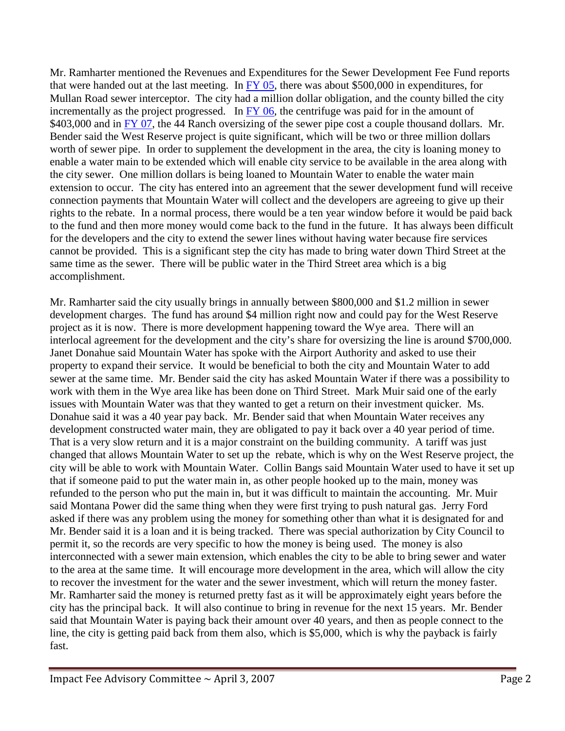Mr. Ramharter mentioned the Revenues and Expenditures for the Sewer Development Fee Fund reports that were handed out at the last meeting. In  $\overline{FY}$  05, there was about \$500,000 in expenditures, for Mullan Road sewer interceptor. The city had a million dollar obligation, and the county billed the city incrementally as the project progressed. In  $FY$  06, the centrifuge was paid for in the amount of \$403,000 and in [FY 07,](ftp://www.ci.missoula.mt.us/Documents/Mayor/IFAC/2007/070313FY07SewerFee.pdf) the 44 Ranch oversizing of the sewer pipe cost a couple thousand dollars. Mr. Bender said the West Reserve project is quite significant, which will be two or three million dollars worth of sewer pipe. In order to supplement the development in the area, the city is loaning money to enable a water main to be extended which will enable city service to be available in the area along with the city sewer. One million dollars is being loaned to Mountain Water to enable the water main extension to occur. The city has entered into an agreement that the sewer development fund will receive connection payments that Mountain Water will collect and the developers are agreeing to give up their rights to the rebate. In a normal process, there would be a ten year window before it would be paid back to the fund and then more money would come back to the fund in the future. It has always been difficult for the developers and the city to extend the sewer lines without having water because fire services cannot be provided. This is a significant step the city has made to bring water down Third Street at the same time as the sewer. There will be public water in the Third Street area which is a big accomplishment.

Mr. Ramharter said the city usually brings in annually between \$800,000 and \$1.2 million in sewer development charges. The fund has around \$4 million right now and could pay for the West Reserve project as it is now. There is more development happening toward the Wye area. There will an interlocal agreement for the development and the city's share for oversizing the line is around \$700,000. Janet Donahue said Mountain Water has spoke with the Airport Authority and asked to use their property to expand their service. It would be beneficial to both the city and Mountain Water to add sewer at the same time. Mr. Bender said the city has asked Mountain Water if there was a possibility to work with them in the Wye area like has been done on Third Street. Mark Muir said one of the early issues with Mountain Water was that they wanted to get a return on their investment quicker. Ms. Donahue said it was a 40 year pay back. Mr. Bender said that when Mountain Water receives any development constructed water main, they are obligated to pay it back over a 40 year period of time. That is a very slow return and it is a major constraint on the building community. A tariff was just changed that allows Mountain Water to set up the rebate, which is why on the West Reserve project, the city will be able to work with Mountain Water. Collin Bangs said Mountain Water used to have it set up that if someone paid to put the water main in, as other people hooked up to the main, money was refunded to the person who put the main in, but it was difficult to maintain the accounting. Mr. Muir said Montana Power did the same thing when they were first trying to push natural gas. Jerry Ford asked if there was any problem using the money for something other than what it is designated for and Mr. Bender said it is a loan and it is being tracked. There was special authorization by City Council to permit it, so the records are very specific to how the money is being used. The money is also interconnected with a sewer main extension, which enables the city to be able to bring sewer and water to the area at the same time. It will encourage more development in the area, which will allow the city to recover the investment for the water and the sewer investment, which will return the money faster. Mr. Ramharter said the money is returned pretty fast as it will be approximately eight years before the city has the principal back. It will also continue to bring in revenue for the next 15 years. Mr. Bender said that Mountain Water is paying back their amount over 40 years, and then as people connect to the line, the city is getting paid back from them also, which is \$5,000, which is why the payback is fairly fast.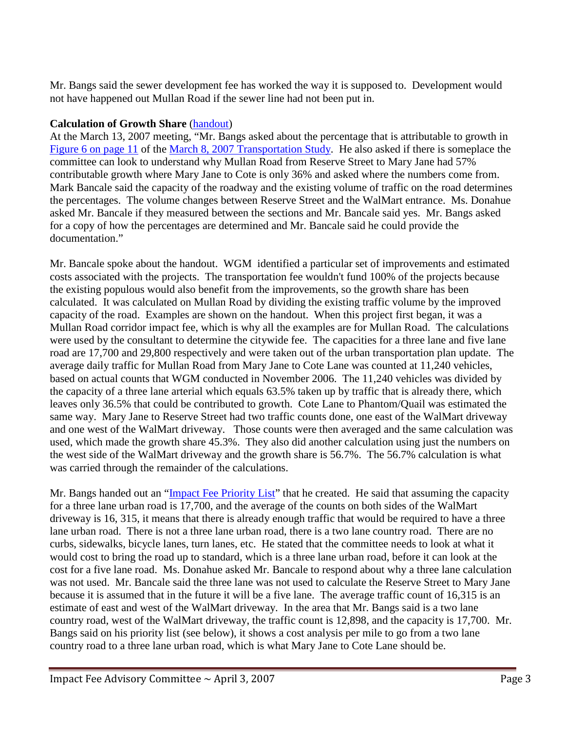Mr. Bangs said the sewer development fee has worked the way it is supposed to. Development would not have happened out Mullan Road if the sewer line had not been put in.

## **Calculation of Growth Share** [\(handout\)](ftp://www.ci.missoula.mt.us/Documents/Mayor/IFAC/2007/070403GrowthShare.pdf)

At the March 13, 2007 meeting, "Mr. Bangs asked about the percentage that is attributable to growth in [Figure 6 on page 11](ftp://www.ci.missoula.mt.us/Documents/Mayor/IFAC/2007/070308ImpactFeePg11.pdf) of the [March 8, 2007 Transportation Study.](ftp://www.ci.missoula.mt.us/Documents/Mayor/IFAC/2007/070308ImpactFeeStudy.pdf) He also asked if there is someplace the committee can look to understand why Mullan Road from Reserve Street to Mary Jane had 57% contributable growth where Mary Jane to Cote is only 36% and asked where the numbers come from. Mark Bancale said the capacity of the roadway and the existing volume of traffic on the road determines the percentages. The volume changes between Reserve Street and the WalMart entrance. Ms. Donahue asked Mr. Bancale if they measured between the sections and Mr. Bancale said yes. Mr. Bangs asked for a copy of how the percentages are determined and Mr. Bancale said he could provide the documentation."

Mr. Bancale spoke about the handout. WGM identified a particular set of improvements and estimated costs associated with the projects. The transportation fee wouldn't fund 100% of the projects because the existing populous would also benefit from the improvements, so the growth share has been calculated. It was calculated on Mullan Road by dividing the existing traffic volume by the improved capacity of the road. Examples are shown on the handout. When this project first began, it was a Mullan Road corridor impact fee, which is why all the examples are for Mullan Road. The calculations were used by the consultant to determine the citywide fee. The capacities for a three lane and five lane road are 17,700 and 29,800 respectively and were taken out of the urban transportation plan update. The average daily traffic for Mullan Road from Mary Jane to Cote Lane was counted at 11,240 vehicles, based on actual counts that WGM conducted in November 2006. The 11,240 vehicles was divided by the capacity of a three lane arterial which equals 63.5% taken up by traffic that is already there, which leaves only 36.5% that could be contributed to growth. Cote Lane to Phantom/Quail was estimated the same way. Mary Jane to Reserve Street had two traffic counts done, one east of the WalMart driveway and one west of the WalMart driveway. Those counts were then averaged and the same calculation was used, which made the growth share 45.3%. They also did another calculation using just the numbers on the west side of the WalMart driveway and the growth share is 56.7%. The 56.7% calculation is what was carried through the remainder of the calculations.

Mr. Bangs handed out an ["Impact Fee Priority List"](ftp://www.ci.missoula.mt.us/Documents/Mayor/IFAC/2007/070403PriorityList.pdf) that he created. He said that assuming the capacity for a three lane urban road is 17,700, and the average of the counts on both sides of the WalMart driveway is 16, 315, it means that there is already enough traffic that would be required to have a three lane urban road. There is not a three lane urban road, there is a two lane country road. There are no curbs, sidewalks, bicycle lanes, turn lanes, etc. He stated that the committee needs to look at what it would cost to bring the road up to standard, which is a three lane urban road, before it can look at the cost for a five lane road. Ms. Donahue asked Mr. Bancale to respond about why a three lane calculation was not used. Mr. Bancale said the three lane was not used to calculate the Reserve Street to Mary Jane because it is assumed that in the future it will be a five lane. The average traffic count of 16,315 is an estimate of east and west of the WalMart driveway. In the area that Mr. Bangs said is a two lane country road, west of the WalMart driveway, the traffic count is 12,898, and the capacity is 17,700. Mr. Bangs said on his priority list (see below), it shows a cost analysis per mile to go from a two lane country road to a three lane urban road, which is what Mary Jane to Cote Lane should be.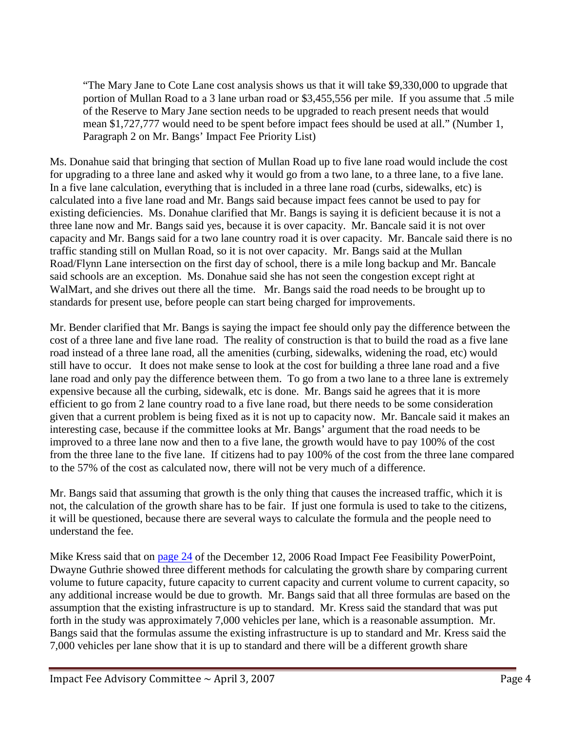"The Mary Jane to Cote Lane cost analysis shows us that it will take \$9,330,000 to upgrade that portion of Mullan Road to a 3 lane urban road or \$3,455,556 per mile. If you assume that .5 mile of the Reserve to Mary Jane section needs to be upgraded to reach present needs that would mean \$1,727,777 would need to be spent before impact fees should be used at all." (Number 1, Paragraph 2 on Mr. Bangs' Impact Fee Priority List)

Ms. Donahue said that bringing that section of Mullan Road up to five lane road would include the cost for upgrading to a three lane and asked why it would go from a two lane, to a three lane, to a five lane. In a five lane calculation, everything that is included in a three lane road (curbs, sidewalks, etc) is calculated into a five lane road and Mr. Bangs said because impact fees cannot be used to pay for existing deficiencies. Ms. Donahue clarified that Mr. Bangs is saying it is deficient because it is not a three lane now and Mr. Bangs said yes, because it is over capacity. Mr. Bancale said it is not over capacity and Mr. Bangs said for a two lane country road it is over capacity. Mr. Bancale said there is no traffic standing still on Mullan Road, so it is not over capacity. Mr. Bangs said at the Mullan Road/Flynn Lane intersection on the first day of school, there is a mile long backup and Mr. Bancale said schools are an exception. Ms. Donahue said she has not seen the congestion except right at WalMart, and she drives out there all the time. Mr. Bangs said the road needs to be brought up to standards for present use, before people can start being charged for improvements.

Mr. Bender clarified that Mr. Bangs is saying the impact fee should only pay the difference between the cost of a three lane and five lane road. The reality of construction is that to build the road as a five lane road instead of a three lane road, all the amenities (curbing, sidewalks, widening the road, etc) would still have to occur. It does not make sense to look at the cost for building a three lane road and a five lane road and only pay the difference between them. To go from a two lane to a three lane is extremely expensive because all the curbing, sidewalk, etc is done. Mr. Bangs said he agrees that it is more efficient to go from 2 lane country road to a five lane road, but there needs to be some consideration given that a current problem is being fixed as it is not up to capacity now. Mr. Bancale said it makes an interesting case, because if the committee looks at Mr. Bangs' argument that the road needs to be improved to a three lane now and then to a five lane, the growth would have to pay 100% of the cost from the three lane to the five lane. If citizens had to pay 100% of the cost from the three lane compared to the 57% of the cost as calculated now, there will not be very much of a difference.

Mr. Bangs said that assuming that growth is the only thing that causes the increased traffic, which it is not, the calculation of the growth share has to be fair. If just one formula is used to take to the citizens, it will be questioned, because there are several ways to calculate the formula and the people need to understand the fee.

Mike Kress said that on [page 24](ftp://www.ci.missoula.mt.us/Documents/Mayor/IFAC/2007/IFACSlide24.pdf) of the December 12, 2006 Road Impact Fee Feasibility PowerPoint, Dwayne Guthrie showed three different methods for calculating the growth share by comparing current volume to future capacity, future capacity to current capacity and current volume to current capacity, so any additional increase would be due to growth. Mr. Bangs said that all three formulas are based on the assumption that the existing infrastructure is up to standard. Mr. Kress said the standard that was put forth in the study was approximately 7,000 vehicles per lane, which is a reasonable assumption. Mr. Bangs said that the formulas assume the existing infrastructure is up to standard and Mr. Kress said the 7,000 vehicles per lane show that it is up to standard and there will be a different growth share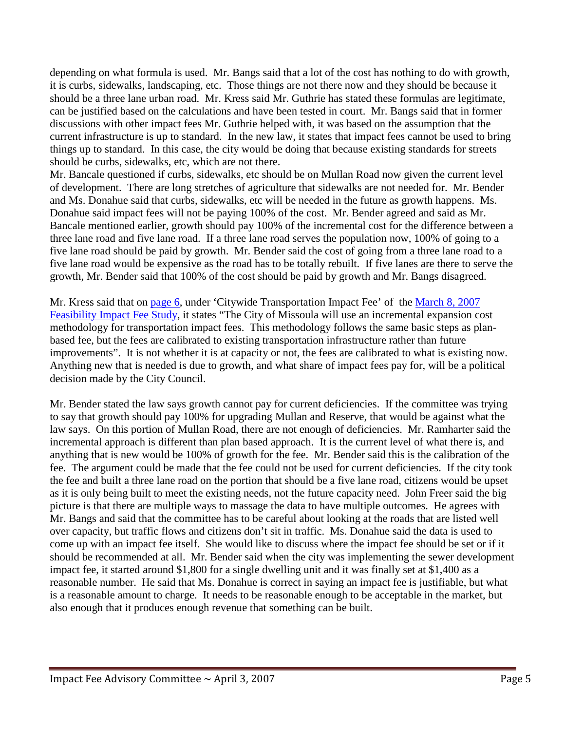depending on what formula is used. Mr. Bangs said that a lot of the cost has nothing to do with growth, it is curbs, sidewalks, landscaping, etc. Those things are not there now and they should be because it should be a three lane urban road. Mr. Kress said Mr. Guthrie has stated these formulas are legitimate, can be justified based on the calculations and have been tested in court. Mr. Bangs said that in former discussions with other impact fees Mr. Guthrie helped with, it was based on the assumption that the current infrastructure is up to standard. In the new law, it states that impact fees cannot be used to bring things up to standard. In this case, the city would be doing that because existing standards for streets should be curbs, sidewalks, etc, which are not there.

Mr. Bancale questioned if curbs, sidewalks, etc should be on Mullan Road now given the current level of development. There are long stretches of agriculture that sidewalks are not needed for. Mr. Bender and Ms. Donahue said that curbs, sidewalks, etc will be needed in the future as growth happens. Ms. Donahue said impact fees will not be paying 100% of the cost. Mr. Bender agreed and said as Mr. Bancale mentioned earlier, growth should pay 100% of the incremental cost for the difference between a three lane road and five lane road. If a three lane road serves the population now, 100% of going to a five lane road should be paid by growth. Mr. Bender said the cost of going from a three lane road to a five lane road would be expensive as the road has to be totally rebuilt. If five lanes are there to serve the growth, Mr. Bender said that 100% of the cost should be paid by growth and Mr. Bangs disagreed.

Mr. Kress said that on [page 6,](ftp://www.ci.missoula.mt.us/Documents/Mayor/IFAC/2007/070308Page6.pdf) under 'Citywide Transportation Impact Fee' of the [March 8,](ftp://www.ci.missoula.mt.us/Documents/Mayor/IFAC/2007/070308ImpactFeeStudy.pdf) 2007 [Feasibility Impact Fee Study,](ftp://www.ci.missoula.mt.us/Documents/Mayor/IFAC/2007/070308ImpactFeeStudy.pdf) it states "The City of Missoula will use an incremental expansion cost methodology for transportation impact fees. This methodology follows the same basic steps as planbased fee, but the fees are calibrated to existing transportation infrastructure rather than future improvements". It is not whether it is at capacity or not, the fees are calibrated to what is existing now. Anything new that is needed is due to growth, and what share of impact fees pay for, will be a political decision made by the City Council.

Mr. Bender stated the law says growth cannot pay for current deficiencies. If the committee was trying to say that growth should pay 100% for upgrading Mullan and Reserve, that would be against what the law says. On this portion of Mullan Road, there are not enough of deficiencies. Mr. Ramharter said the incremental approach is different than plan based approach. It is the current level of what there is, and anything that is new would be 100% of growth for the fee. Mr. Bender said this is the calibration of the fee. The argument could be made that the fee could not be used for current deficiencies. If the city took the fee and built a three lane road on the portion that should be a five lane road, citizens would be upset as it is only being built to meet the existing needs, not the future capacity need. John Freer said the big picture is that there are multiple ways to massage the data to have multiple outcomes. He agrees with Mr. Bangs and said that the committee has to be careful about looking at the roads that are listed well over capacity, but traffic flows and citizens don't sit in traffic. Ms. Donahue said the data is used to come up with an impact fee itself. She would like to discuss where the impact fee should be set or if it should be recommended at all. Mr. Bender said when the city was implementing the sewer development impact fee, it started around \$1,800 for a single dwelling unit and it was finally set at \$1,400 as a reasonable number. He said that Ms. Donahue is correct in saying an impact fee is justifiable, but what is a reasonable amount to charge. It needs to be reasonable enough to be acceptable in the market, but also enough that it produces enough revenue that something can be built.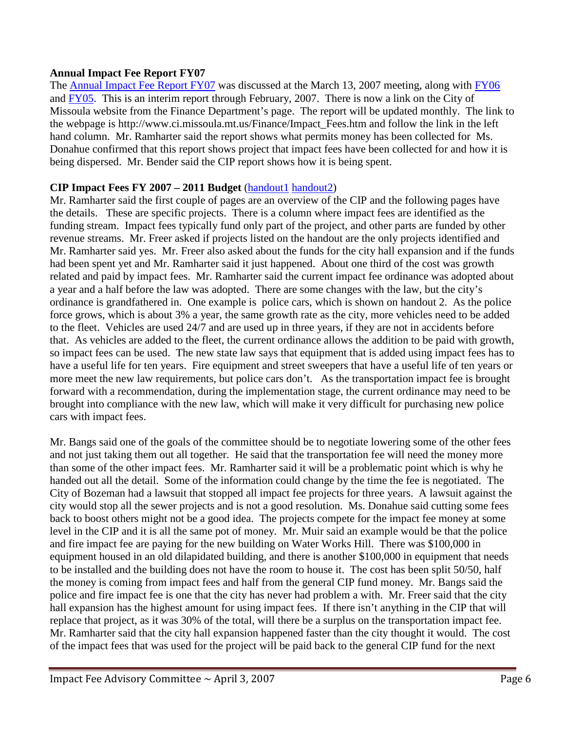#### **Annual Impact Fee Report FY07**

The **Annual Impact Fee Report FY07** was discussed at the March 13, 2007 meeting, along with [FY06](ftp://www.ci.missoula.mt.us/Documents/Mayor/IFAC/2007/070206FY06ImpFeeRpt.pdf) and [FY05.](ftp://www.ci.missoula.mt.us/Documents/Mayor/IFAC/2007/070206FY05ImpFeeRpt.pdf) This is an interim report through February, 2007. There is now a link on the City of Missoula website from the Finance Department's page. The report will be updated monthly. The link to the webpage is [http://www.ci.missoula.mt.us/Finance/Impact\\_Fees.htm](http://www.ci.missoula.mt.us/Finance/Impact_Fees.htm) and follow the link in the left hand column. Mr. Ramharter said the report shows what permits money has been collected for Ms. Donahue confirmed that this report shows project that impact fees have been collected for and how it is being dispersed. Mr. Bender said the CIP report shows how it is being spent.

## **CIP Impact Fees FY 2007 – 2011 Budget** [\(handout1](ftp://www.ci.missoula.mt.us/Documents/Mayor/IFAC/2007/070403CIPImpactFees07to11.pdf) [handout2\)](ftp://www.ci.missoula.mt.us/Documents/Mayor/IFAC/2007/070403CIPhandout2.pdf)

Mr. Ramharter said the first couple of pages are an overview of the CIP and the following pages have the details. These are specific projects. There is a column where impact fees are identified as the funding stream. Impact fees typically fund only part of the project, and other parts are funded by other revenue streams. Mr. Freer asked if projects listed on the handout are the only projects identified and Mr. Ramharter said yes. Mr. Freer also asked about the funds for the city hall expansion and if the funds had been spent yet and Mr. Ramharter said it just happened. About one third of the cost was growth related and paid by impact fees. Mr. Ramharter said the current impact fee ordinance was adopted about a year and a half before the law was adopted. There are some changes with the law, but the city's ordinance is grandfathered in. One example is police cars, which is shown on handout 2. As the police force grows, which is about 3% a year, the same growth rate as the city, more vehicles need to be added to the fleet. Vehicles are used 24/7 and are used up in three years, if they are not in accidents before that. As vehicles are added to the fleet, the current ordinance allows the addition to be paid with growth, so impact fees can be used. The new state law says that equipment that is added using impact fees has to have a useful life for ten years. Fire equipment and street sweepers that have a useful life of ten years or more meet the new law requirements, but police cars don't. As the transportation impact fee is brought forward with a recommendation, during the implementation stage, the current ordinance may need to be brought into compliance with the new law, which will make it very difficult for purchasing new police cars with impact fees.

Mr. Bangs said one of the goals of the committee should be to negotiate lowering some of the other fees and not just taking them out all together. He said that the transportation fee will need the money more than some of the other impact fees. Mr. Ramharter said it will be a problematic point which is why he handed out all the detail. Some of the information could change by the time the fee is negotiated. The City of Bozeman had a lawsuit that stopped all impact fee projects for three years. A lawsuit against the city would stop all the sewer projects and is not a good resolution. Ms. Donahue said cutting some fees back to boost others might not be a good idea. The projects compete for the impact fee money at some level in the CIP and it is all the same pot of money. Mr. Muir said an example would be that the police and fire impact fee are paying for the new building on Water Works Hill. There was \$100,000 in equipment housed in an old dilapidated building, and there is another \$100,000 in equipment that needs to be installed and the building does not have the room to house it. The cost has been split 50/50, half the money is coming from impact fees and half from the general CIP fund money. Mr. Bangs said the police and fire impact fee is one that the city has never had problem a with. Mr. Freer said that the city hall expansion has the highest amount for using impact fees. If there isn't anything in the CIP that will replace that project, as it was 30% of the total, will there be a surplus on the transportation impact fee. Mr. Ramharter said that the city hall expansion happened faster than the city thought it would. The cost of the impact fees that was used for the project will be paid back to the general CIP fund for the next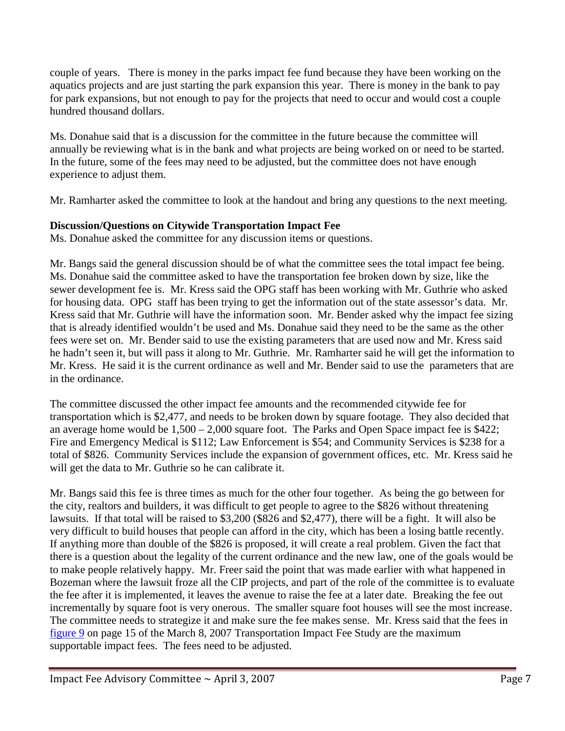couple of years. There is money in the parks impact fee fund because they have been working on the aquatics projects and are just starting the park expansion this year. There is money in the bank to pay for park expansions, but not enough to pay for the projects that need to occur and would cost a couple hundred thousand dollars.

Ms. Donahue said that is a discussion for the committee in the future because the committee will annually be reviewing what is in the bank and what projects are being worked on or need to be started. In the future, some of the fees may need to be adjusted, but the committee does not have enough experience to adjust them.

Mr. Ramharter asked the committee to look at the handout and bring any questions to the next meeting.

# **Discussion/Questions on Citywide Transportation Impact Fee**

Ms. Donahue asked the committee for any discussion items or questions.

Mr. Bangs said the general discussion should be of what the committee sees the total impact fee being. Ms. Donahue said the committee asked to have the transportation fee broken down by size, like the sewer development fee is. Mr. Kress said the OPG staff has been working with Mr. Guthrie who asked for housing data. OPG staff has been trying to get the information out of the state assessor's data. Mr. Kress said that Mr. Guthrie will have the information soon. Mr. Bender asked why the impact fee sizing that is already identified wouldn't be used and Ms. Donahue said they need to be the same as the other fees were set on. Mr. Bender said to use the existing parameters that are used now and Mr. Kress said he hadn't seen it, but will pass it along to Mr. Guthrie. Mr. Ramharter said he will get the information to Mr. Kress. He said it is the current ordinance as well and Mr. Bender said to use the parameters that are in the ordinance.

The committee discussed the other impact fee amounts and the recommended citywide fee for transportation which is \$2,477, and needs to be broken down by square footage. They also decided that an average home would be 1,500 – 2,000 square foot. The Parks and Open Space impact fee is \$422; Fire and Emergency Medical is \$112; Law Enforcement is \$54; and Community Services is \$238 for a total of \$826. Community Services include the expansion of government offices, etc. Mr. Kress said he will get the data to Mr. Guthrie so he can calibrate it.

Mr. Bangs said this fee is three times as much for the other four together. As being the go between for the city, realtors and builders, it was difficult to get people to agree to the \$826 without threatening lawsuits. If that total will be raised to \$3,200 (\$826 and \$2,477), there will be a fight. It will also be very difficult to build houses that people can afford in the city, which has been a losing battle recently. If anything more than double of the \$826 is proposed, it will create a real problem. Given the fact that there is a question about the legality of the current ordinance and the new law, one of the goals would be to make people relatively happy. Mr. Freer said the point that was made earlier with what happened in Bozeman where the lawsuit froze all the CIP projects, and part of the role of the committee is to evaluate the fee after it is implemented, it leaves the avenue to raise the fee at a later date. Breaking the fee out incrementally by square foot is very onerous. The smaller square foot houses will see the most increase. The committee needs to strategize it and make sure the fee makes sense. Mr. Kress said that the fees in [figure 9](ftp://www.ci.missoula.mt.us/Documents/Mayor/IFAC/2007/070308ImpactFeePg15.pdf) on page 15 of the March 8, 2007 Transportation Impact Fee Study are the maximum supportable impact fees. The fees need to be adjusted.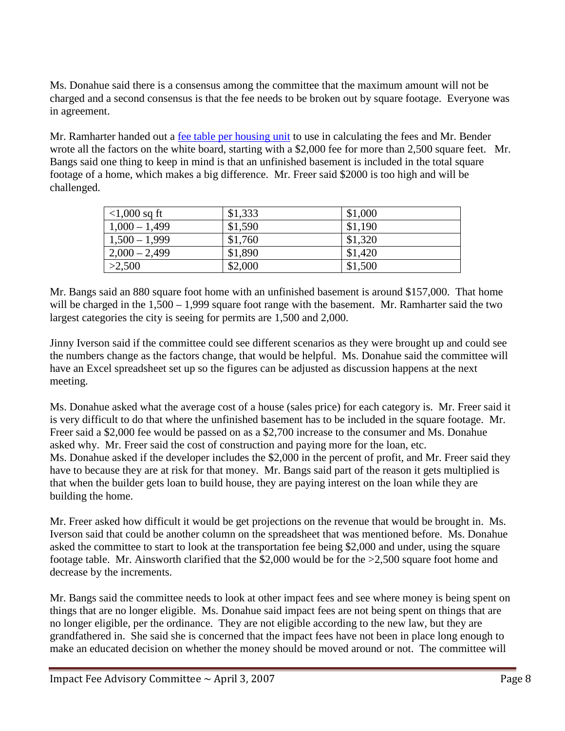Ms. Donahue said there is a consensus among the committee that the maximum amount will not be charged and a second consensus is that the fee needs to be broken out by square footage. Everyone was in agreement.

Mr. Ramharter handed out a [fee table per housing unit](ftp://www.ci.missoula.mt.us/Documents/Mayor/IFAC/2007/070403FeeTable.pdf) to use in calculating the fees and Mr. Bender wrote all the factors on the white board, starting with a \$2,000 fee for more than 2,500 square feet. Mr. Bangs said one thing to keep in mind is that an unfinished basement is included in the total square footage of a home, which makes a big difference. Mr. Freer said \$2000 is too high and will be challenged.

| $<$ 1,000 sq ft | \$1,333 | \$1,000 |
|-----------------|---------|---------|
| $1,000 - 1,499$ | \$1,590 | \$1,190 |
| $1,500 - 1,999$ | \$1,760 | \$1,320 |
| $2,000 - 2,499$ | \$1,890 | \$1,420 |
| >2,500          | \$2,000 | \$1,500 |

Mr. Bangs said an 880 square foot home with an unfinished basement is around \$157,000. That home will be charged in the 1,500 – 1,999 square foot range with the basement. Mr. Ramharter said the two largest categories the city is seeing for permits are 1,500 and 2,000.

Jinny Iverson said if the committee could see different scenarios as they were brought up and could see the numbers change as the factors change, that would be helpful. Ms. Donahue said the committee will have an Excel spreadsheet set up so the figures can be adjusted as discussion happens at the next meeting.

Ms. Donahue asked what the average cost of a house (sales price) for each category is. Mr. Freer said it is very difficult to do that where the unfinished basement has to be included in the square footage. Mr. Freer said a \$2,000 fee would be passed on as a \$2,700 increase to the consumer and Ms. Donahue asked why. Mr. Freer said the cost of construction and paying more for the loan, etc. Ms. Donahue asked if the developer includes the \$2,000 in the percent of profit, and Mr. Freer said they have to because they are at risk for that money. Mr. Bangs said part of the reason it gets multiplied is that when the builder gets loan to build house, they are paying interest on the loan while they are building the home.

Mr. Freer asked how difficult it would be get projections on the revenue that would be brought in. Ms. Iverson said that could be another column on the spreadsheet that was mentioned before. Ms. Donahue asked the committee to start to look at the transportation fee being \$2,000 and under, using the square footage table. Mr. Ainsworth clarified that the \$2,000 would be for the >2,500 square foot home and decrease by the increments.

Mr. Bangs said the committee needs to look at other impact fees and see where money is being spent on things that are no longer eligible. Ms. Donahue said impact fees are not being spent on things that are no longer eligible, per the ordinance. They are not eligible according to the new law, but they are grandfathered in. She said she is concerned that the impact fees have not been in place long enough to make an educated decision on whether the money should be moved around or not. The committee will